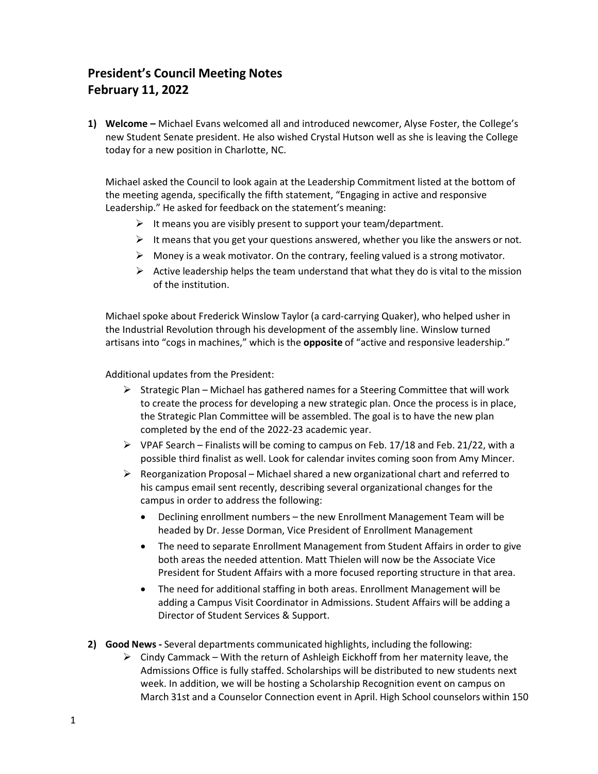## **President's Council Meeting Notes February 11, 2022**

**1) Welcome –** Michael Evans welcomed all and introduced newcomer, Alyse Foster, the College's new Student Senate president. He also wished Crystal Hutson well as she is leaving the College today for a new position in Charlotte, NC.

Michael asked the Council to look again at the Leadership Commitment listed at the bottom of the meeting agenda, specifically the fifth statement, "Engaging in active and responsive Leadership." He asked for feedback on the statement's meaning:

- $\triangleright$  It means you are visibly present to support your team/department.
- $\triangleright$  It means that you get your questions answered, whether you like the answers or not.
- $\triangleright$  Money is a weak motivator. On the contrary, feeling valued is a strong motivator.
- $\triangleright$  Active leadership helps the team understand that what they do is vital to the mission of the institution.

Michael spoke about Frederick Winslow Taylor (a card-carrying Quaker), who helped usher in the Industrial Revolution through his development of the assembly line. Winslow turned artisans into "cogs in machines," which is the **opposite** of "active and responsive leadership."

Additional updates from the President:

- $\triangleright$  Strategic Plan Michael has gathered names for a Steering Committee that will work to create the process for developing a new strategic plan. Once the process is in place, the Strategic Plan Committee will be assembled. The goal is to have the new plan completed by the end of the 2022-23 academic year.
- $\triangleright$  VPAF Search Finalists will be coming to campus on Feb. 17/18 and Feb. 21/22, with a possible third finalist as well. Look for calendar invites coming soon from Amy Mincer.
- $\triangleright$  Reorganization Proposal Michael shared a new organizational chart and referred to his campus email sent recently, describing several organizational changes for the campus in order to address the following:
	- · Declining enrollment numbers the new Enrollment Management Team will be headed by Dr. Jesse Dorman, Vice President of Enrollment Management
	- · The need to separate Enrollment Management from Student Affairs in order to give both areas the needed attention. Matt Thielen will now be the Associate Vice President for Student Affairs with a more focused reporting structure in that area.
	- · The need for additional staffing in both areas. Enrollment Management will be adding a Campus Visit Coordinator in Admissions. Student Affairs will be adding a Director of Student Services & Support.
- **2) Good News -** Several departments communicated highlights, including the following:
	- $\triangleright$  Cindy Cammack With the return of Ashleigh Eickhoff from her maternity leave, the Admissions Office is fully staffed. Scholarships will be distributed to new students next week. In addition, we will be hosting a Scholarship Recognition event on campus on March 31st and a Counselor Connection event in April. High School counselors within 150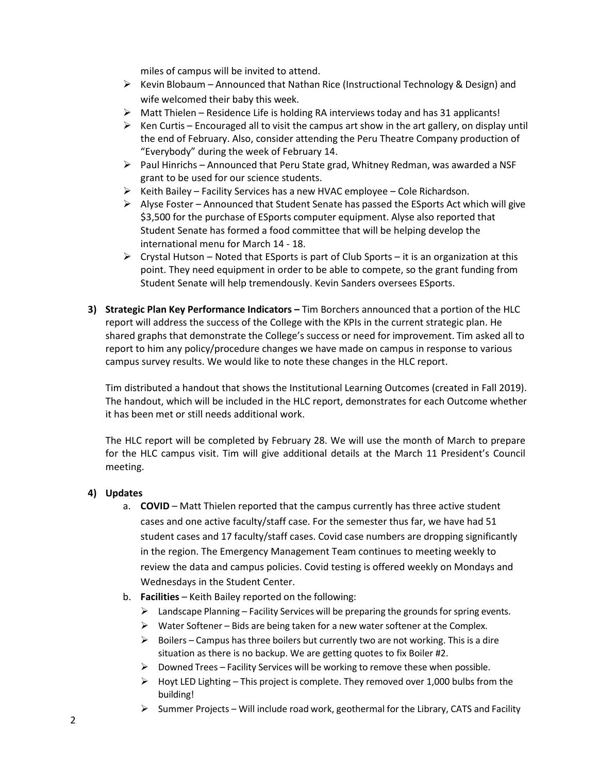miles of campus will be invited to attend.

- $\triangleright$  Kevin Blobaum Announced that Nathan Rice (Instructional Technology & Design) and wife welcomed their baby this week.
- $\triangleright$  Matt Thielen Residence Life is holding RA interviews today and has 31 applicants!
- $\triangleright$  Ken Curtis Encouraged all to visit the campus art show in the art gallery, on display until the end of February. Also, consider attending the Peru Theatre Company production of "Everybody" during the week of February 14.
- $\triangleright$  Paul Hinrichs Announced that Peru State grad, Whitney Redman, was awarded a NSF grant to be used for our science students.
- $\triangleright$  Keith Bailey Facility Services has a new HVAC employee Cole Richardson.
- $\triangleright$  Alyse Foster Announced that Student Senate has passed the ESports Act which will give \$3,500 for the purchase of ESports computer equipment. Alyse also reported that Student Senate has formed a food committee that will be helping develop the international menu for March 14 - 18.
- $\triangleright$  Crystal Hutson Noted that ESports is part of Club Sports it is an organization at this point. They need equipment in order to be able to compete, so the grant funding from Student Senate will help tremendously. Kevin Sanders oversees ESports.
- **3) Strategic Plan Key Performance Indicators –** Tim Borchers announced that a portion of the HLC report will address the success of the College with the KPIs in the current strategic plan. He shared graphs that demonstrate the College's success or need for improvement. Tim asked all to report to him any policy/procedure changes we have made on campus in response to various campus survey results. We would like to note these changes in the HLC report.

Tim distributed a handout that shows the Institutional Learning Outcomes (created in Fall 2019). The handout, which will be included in the HLC report, demonstrates for each Outcome whether it has been met or still needs additional work.

The HLC report will be completed by February 28. We will use the month of March to prepare for the HLC campus visit. Tim will give additional details at the March 11 President's Council meeting.

## **4) Updates**

- a. **COVID**  Matt Thielen reported that the campus currently has three active student cases and one active faculty/staff case. For the semester thus far, we have had 51 student cases and 17 faculty/staff cases. Covid case numbers are dropping significantly in the region. The Emergency Management Team continues to meeting weekly to review the data and campus policies. Covid testing is offered weekly on Mondays and Wednesdays in the Student Center.
- b. **Facilities** Keith Bailey reported on the following:
	- $\triangleright$  Landscape Planning Facility Services will be preparing the grounds for spring events.
	- $\triangleright$  Water Softener Bids are being taken for a new water softener at the Complex.
	- $\triangleright$  Boilers Campus has three boilers but currently two are not working. This is a dire situation as there is no backup. We are getting quotes to fix Boiler #2.
	- $\triangleright$  Downed Trees Facility Services will be working to remove these when possible.
	- $\triangleright$  Hoyt LED Lighting This project is complete. They removed over 1,000 bulbs from the building!
	- $\triangleright$  Summer Projects Will include road work, geothermal for the Library, CATS and Facility